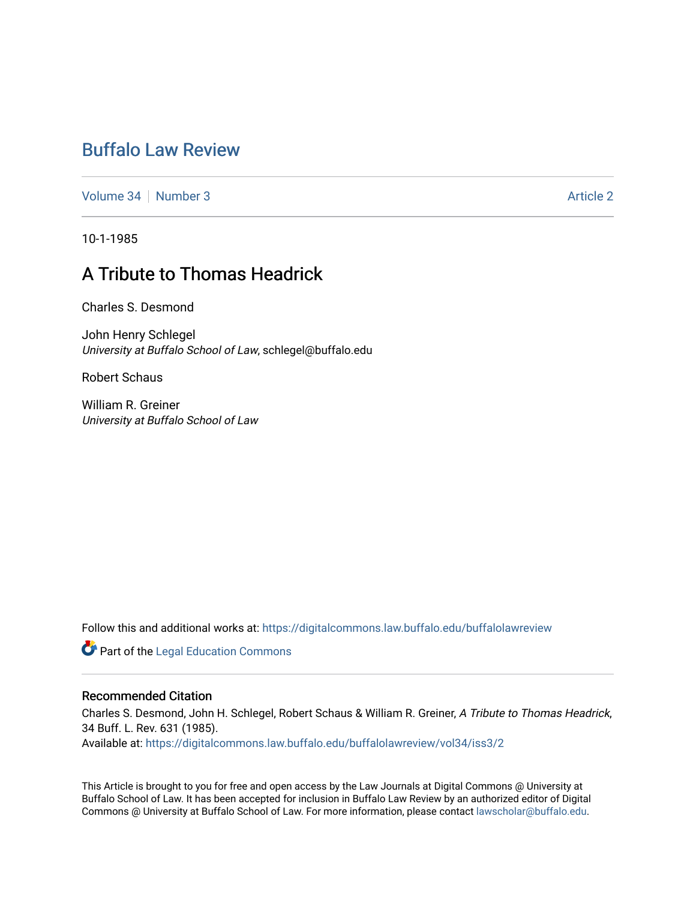## [Buffalo Law Review](https://digitalcommons.law.buffalo.edu/buffalolawreview)

[Volume 34](https://digitalcommons.law.buffalo.edu/buffalolawreview/vol34) | [Number 3](https://digitalcommons.law.buffalo.edu/buffalolawreview/vol34/iss3) [Article 2](https://digitalcommons.law.buffalo.edu/buffalolawreview/vol34/iss3/2) Article 2 Article 2 Article 2 Article 2 Article 2 Article 2 Article 2

10-1-1985

# A Tribute to Thomas Headrick

Charles S. Desmond

John Henry Schlegel University at Buffalo School of Law, schlegel@buffalo.edu

Robert Schaus

William R. Greiner University at Buffalo School of Law

Follow this and additional works at: [https://digitalcommons.law.buffalo.edu/buffalolawreview](https://digitalcommons.law.buffalo.edu/buffalolawreview?utm_source=digitalcommons.law.buffalo.edu%2Fbuffalolawreview%2Fvol34%2Fiss3%2F2&utm_medium=PDF&utm_campaign=PDFCoverPages) 

**Part of the Legal Education Commons** 

#### Recommended Citation

Charles S. Desmond, John H. Schlegel, Robert Schaus & William R. Greiner, A Tribute to Thomas Headrick, 34 Buff. L. Rev. 631 (1985).

Available at: [https://digitalcommons.law.buffalo.edu/buffalolawreview/vol34/iss3/2](https://digitalcommons.law.buffalo.edu/buffalolawreview/vol34/iss3/2?utm_source=digitalcommons.law.buffalo.edu%2Fbuffalolawreview%2Fvol34%2Fiss3%2F2&utm_medium=PDF&utm_campaign=PDFCoverPages) 

This Article is brought to you for free and open access by the Law Journals at Digital Commons @ University at Buffalo School of Law. It has been accepted for inclusion in Buffalo Law Review by an authorized editor of Digital Commons @ University at Buffalo School of Law. For more information, please contact [lawscholar@buffalo.edu](mailto:lawscholar@buffalo.edu).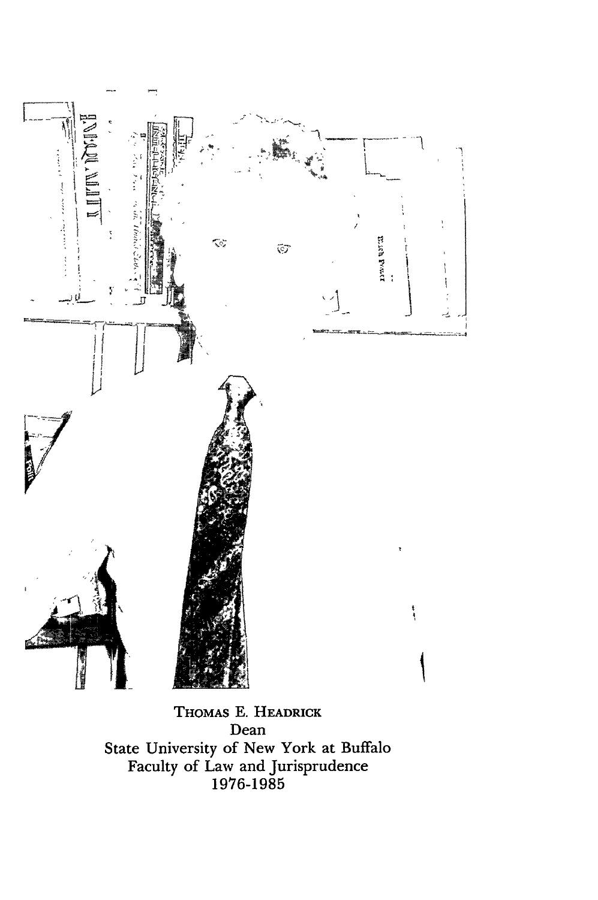

**THOMAS E. HEADRICK** Dean State University of New York at Buffald Faculty of Law and Jurisprudence **1976-1985**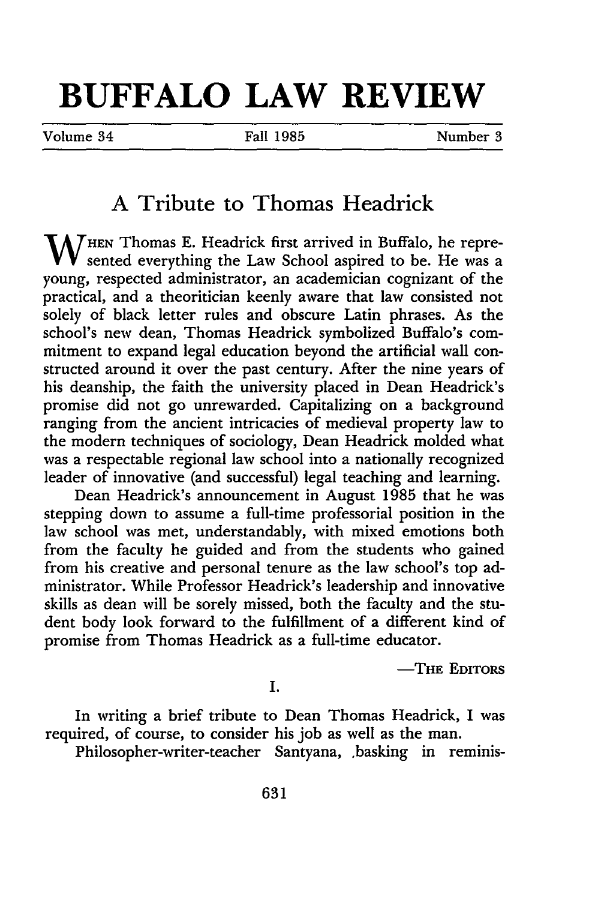# **BUFFALO LAW REVIEW**

Volume 34 Fall **1985** Number 3

## **A** Tribute to Thomas Headrick

W HEN Thomas E. Headrick first arrived in Buffalo, he represented everything the Law School aspired to be. He was a young, respected administrator, an academician cognizant of the practical, and a theoritician keenly aware that law consisted not solely of black letter rules and obscure Latin phrases. As the school's new dean, Thomas Headrick symbolized Buffalo's commitment to expand legal education beyond the artificial wall constructed around it over the past century. After the nine years of his deanship, the faith the university placed in Dean Headrick's promise did not go unrewarded. Capitalizing on a background ranging from the ancient intricacies of medieval property law to the modern techniques of sociology, Dean Headrick molded what was a respectable regional law school into a nationally recognized leader of innovative (and successful) legal teaching and learning.

Dean Headrick's announcement in August **1985** that he was stepping down to assume a full-time professorial position in the law school was met, understandably, with mixed emotions both from the faculty he guided and from the students who gained from his creative and personal tenure as the law school's top administrator. While Professor Headrick's leadership and innovative skills as dean will be sorely missed, both the faculty and the student body look forward to the fulfillment of a different kind of promise from Thomas Headrick as a full-time educator.

-THE **EDITORS**

I.

In writing a brief tribute to Dean Thomas Headrick, I was required, of course, to consider his job as well as the man.

Philosopher-writer-teacher Santyana, .basking in reminis-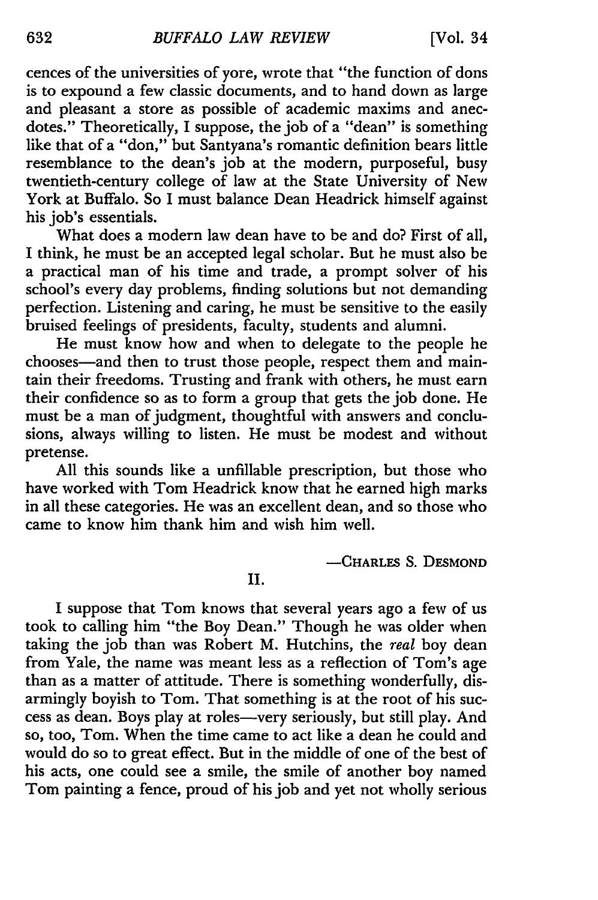cences of the universities of yore, wrote that "the function of dons is to expound a few classic documents, and to hand down as large and pleasant a store as possible of academic maxims and anecdotes." Theoretically, I suppose, the job of a "dean" is something like that of a "don," but Santyana's romantic definition bears little resemblance to the dean's job at the modern, purposeful, busy twentieth-century college of law at the State University of New York at Buffalo. So I must balance Dean Headrick himself against his job's essentials.

What does a modern law dean have to be and do? First of all, I think, he must be an accepted legal scholar. But he must also be a practical man of his time and trade, a prompt solver of his school's every day problems, finding solutions but not demanding perfection. Listening and caring, he must be sensitive to the easily bruised feelings of presidents, faculty, students and alumni.

He must know how and when to delegate to the people he chooses-and then to trust those people, respect them and maintain their freedoms. Trusting and frank with others, he must earn their confidence so as to form a group that gets the job done. He must be a man of judgment, thoughtful with answers and conclusions, always willing to listen. He must be modest and without pretense.

All this sounds like a unfillable prescription, but those who have worked with Tom Headrick know that he earned high marks in all these categories. He was an excellent dean, and so those who came to know him thank him and wish him well.

-CHARLES S. **DESMOND**

II.

I suppose that Tom knows that several years ago a few of us took to calling him "the Boy Dean." Though he was older when taking the job than was Robert M. Hutchins, the real boy dear from Yale, the name was meant less as a reflection of Tom's age than as a matter of attitude. There is something wonderfully, disarmingly boyish to Tom. That something is at the root of his success as dean. Boys play at roles-very seriously, but still play. And so, too, Tom. When the time came to act like a dean he could and would do so to great effect. But in the middle of one of the best of his acts, one could see a smile, the smile of another boy named Tom painting a fence, proud of his job and yet not wholly serious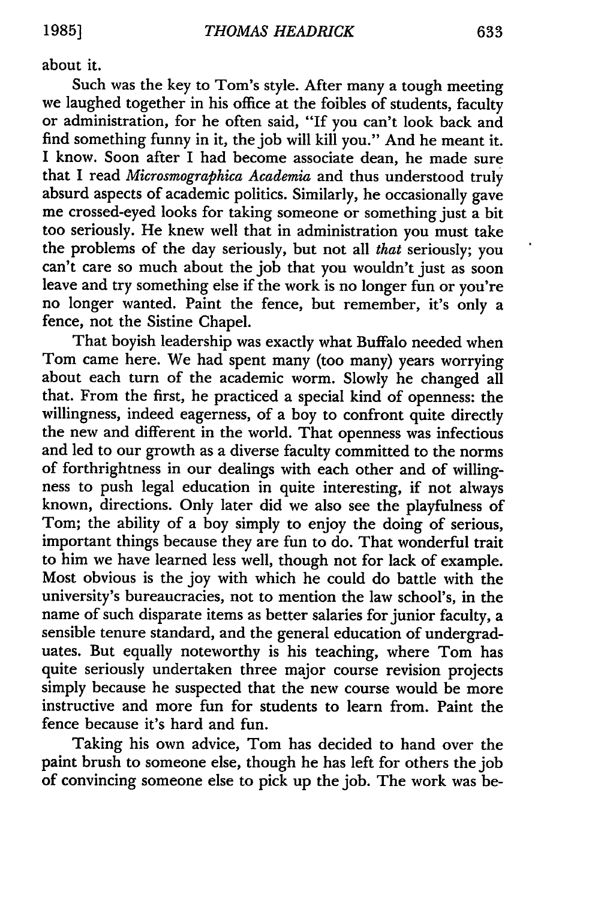about it.

Such was the key to Tom's style. After many a tough meeting we laughed together in his office at the foibles of students, faculty or administration, for he often said, "If you can't look back and find something funny in it, the job will kill you." And he meant it. I know. Soon after I had become associate dean, he made sure that I read *Microsmographica Academia* and thus understood truly absurd aspects of academic politics. Similarly, he occasionally gave me crossed-eyed looks for taking someone or something just a bit too seriously. He knew well that in administration you must take the problems of the day seriously, but not all that seriously; you can't care so much about the job that you wouldn't just as soon leave and try something else if the work is no longer fun or you're no longer wanted. Paint the fence, but remember, it's only a fence, not the Sistine Chapel.

That boyish leadership was exactly what Buffalo needed when Tom came here. We had spent many (too many) years worrying about each turn of the academic worm. Slowly he changed all that. From the first, he practiced a special kind of openness: the willingness, indeed eagerness, of a boy to confront quite directly the new and different in the world. That openness was infectious and led to our growth as a diverse faculty committed to the norms of forthrightness in our dealings with each other and of willingness to push legal education in quite interesting, if not always known, directions. Only later did we also see the playfulness of Tom; the ability of a boy simply to enjoy the doing of serious, important things because they are fun to do. That wonderful trait to him we have learned less well, though not for lack of example. Most obvious is the joy with which he could do battle with the university's bureaucracies, not to mention the law school's, in the name of such disparate items as better salaries for junior faculty, a sensible tenure standard, and the general education of undergraduates. But equally noteworthy is his teaching, where Tom has quite seriously undertaken three major course revision projects simply because he suspected that the new course would be more instructive and more fun for students to learn from. Paint the fence because it's hard and fun.

Taking his own advice, Tom has decided to hand over the paint brush to someone else, though he has left for others the job of convincing someone else to pick up the job. The work was be-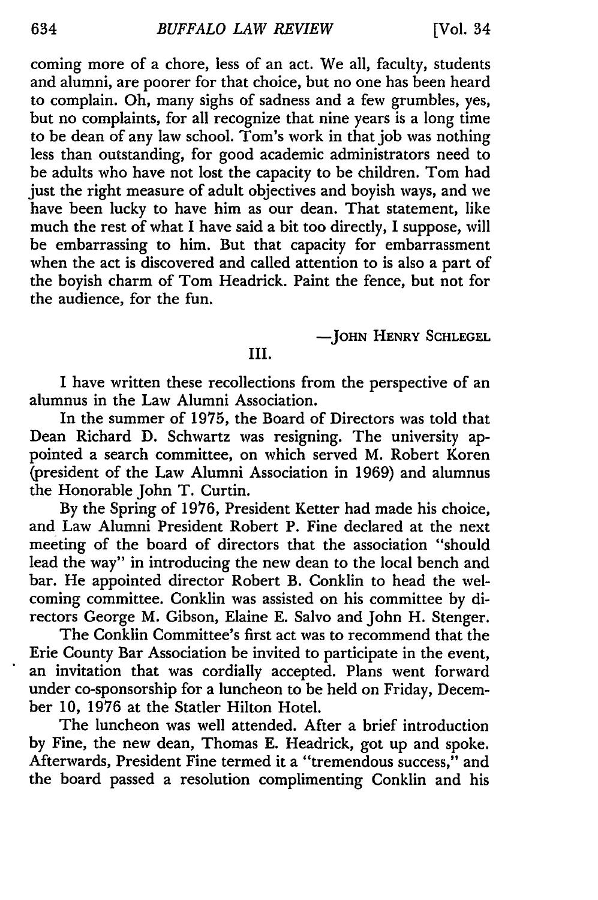coming more of a chore, less of an act. We all, faculty, students and alumni, are poorer for that choice, but no one has been heard to complain. Oh, many sighs of sadness and a few grumbles, yes, but no complaints, for all recognize that nine years is a long time to be dean of any law school. Tom's work in that job was nothing less than outstanding, for good academic administrators need to be adults who have not lost the capacity to be children. Tom had just the right measure of adult objectives and boyish ways, and we have been lucky to have him as our dean. That statement, like much the rest of what I have said a bit too directly, I suppose, will be embarrassing to him. But that capacity for embarrassment when the act is discovered and called attention to is also a part of the boyish charm of Tom Headrick. Paint the fence, but not for the audience, for the fun.

**-JOHN** HENRY **SCHLEGEL**

### III.

I have written these recollections from the perspective of an alumnus in the Law Alumni Association.

In the summer of 1975, the Board of Directors was told that Dean Richard D. Schwartz was resigning. The university appointed a search committee, on which served M. Robert Koren (president of the Law Alumni Association in 1969) and alumnus the Honorable John T. Curtin.

By the Spring of 1976, President Ketter had made his choice, and Law Alumni President Robert P. Fine declared at the next meeting of the board of directors that the association "should lead the way" in introducing the new dean to the local bench and bar. He appointed director Robert B. Conklin to head the welcoming committee. Conklin was assisted on his committee by directors George M. Gibson, Elaine E. Salvo and John H. Stenger.

The Conklin Committee's first act was to recommend that the Erie County Bar Association be invited to participate in the event, an invitation that was cordially accepted. Plans went forward under co-sponsorship for a luncheon to be held on Friday, December **10,** 1976 at the Statler Hilton Hotel.

The luncheon was well attended. After a brief introduction by Fine, the new dean, Thomas E. Headrick, got up and spoke. Afterwards, President Fine termed it a "tremendous success," and the board passed a resolution complimenting Conklin and his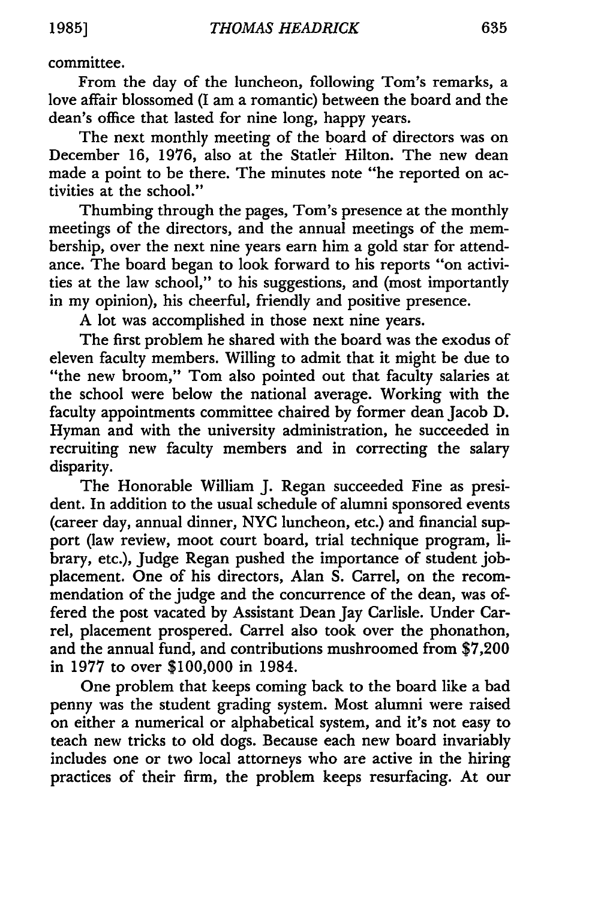committee.

From the day of the luncheon, following Tom's remarks, a love affair blossomed (I am a romantic) between the board and the dean's office that lasted for nine long, happy years.

The next monthly meeting of the board of directors was on December 16, 1976, also at the Statler Hilton. The new dean made a point to be there. The minutes note "he reported on activities at the school."

Thumbing through the pages, Tom's presence at the monthly meetings of the directors, and the annual meetings of the membership, over the next nine years earn him a gold star for attendance. The board began to look forward to his reports "on activities at the law school," to his suggestions, and (most importantly in my opinion), his cheerful, friendly and positive presence.

A lot was accomplished in those next nine years.

The first problem he shared with the board was the exodus of eleven faculty members. Willing to admit that it might be due to "the new broom," Tom also pointed out that faculty salaries at the school were below the national average. Working with the faculty appointments committee chaired by former dean Jacob D. Hyman and with the university administration, he succeeded in recruiting new faculty members and in correcting the salary disparity.

The Honorable William J. Regan succeeded Fine as president. In addition to the usual schedule of alumni sponsored events (career day, annual dinner, NYC luncheon, etc.) and financial support (law review, moot court board, trial technique program, library, etc.), Judge Regan pushed the importance of student jobplacement. One of his directors, Alan S. Carrel, on the recommendation of the judge and the concurrence of the dean, was offered the post vacated by Assistant Dean Jay Carlisle. Under Carrel, placement prospered. Carrel also took over the phonathon, and the annual fund, and contributions mushroomed from \$7,200 in 1977 to over \$100,000 in 1984.

One problem that keeps coming back to the board like a bad penny was the student grading system. Most alumni were raised on either a numerical or alphabetical system, and it's not easy to teach new tricks to old dogs. Because each new board invariably includes one or two local attorneys who are active in the hiring practices of their firm, the problem keeps resurfacing. At our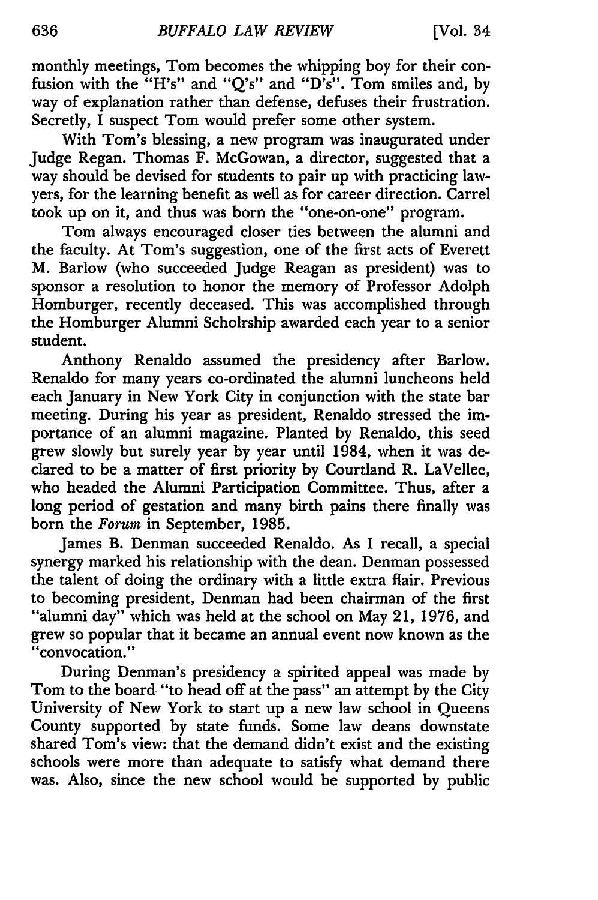monthly meetings, Tom becomes the whipping boy for their confusion with the "H's" and "Q's" and "D's". Tom smiles and, by way of explanation rather than defense, defuses their frustration. Secretly, I suspect Tom would prefer some other system.

With Tom's blessing, a new program was inaugurated under Judge Regan. Thomas F. McGowan, a director, suggested that a way should be devised for students to pair up with practicing lawyers, for the learning benefit as well as for career direction. Carrel took up on it, and thus was born the "one-on-one" program.

Tom always encouraged closer ties between the alumni and the faculty. At Tom's suggestion, one of the first acts of Everett M. Barlow (who succeeded Judge Reagan as president) was to sponsor a resolution to honor the memory of Professor Adolph Homburger, recently deceased. This was accomplished through the Homburger Alumni Scholrship awarded each year to a senior student.

Anthony Renaldo assumed the presidency after Barlow. Renaldo for many years co-ordinated the alumni luncheons held each January in New York City in conjunction with the state bar meeting. During his year as president, Renaldo stressed the importance of an alumni magazine. Planted by Renaldo, this seed grew slowly but surely year by year until 1984, when it was declared to be a matter of first priority by Courtland R. LaVellee, who headed the Alumni Participation Committee. Thus, after a long period of gestation and many birth pains there finally was born the *Forum* in September, 1985.

James B. Denman succeeded Renaldo. As I recall, a special synergy marked his relationship with the dean. Denman possessed the talent of doing the ordinary with a little extra flair. Previous to becoming president, Denman had been chairman of the first "alumni day" which was held at the school on May 21, 1976, and grew so popular that it became an annual event now known as the "convocation."

During Denman's presidency a spirited appeal was made **by** Tom to the board "to head off at the pass" an attempt **by** the City University of New York to start up a new law school in Queens County supported **by** state funds. Some law deans downstate shared Tom's view: that the demand didn't exist and the existing schools were more than adequate to satisfy what demand there was. Also, since the new school would be supported **by** public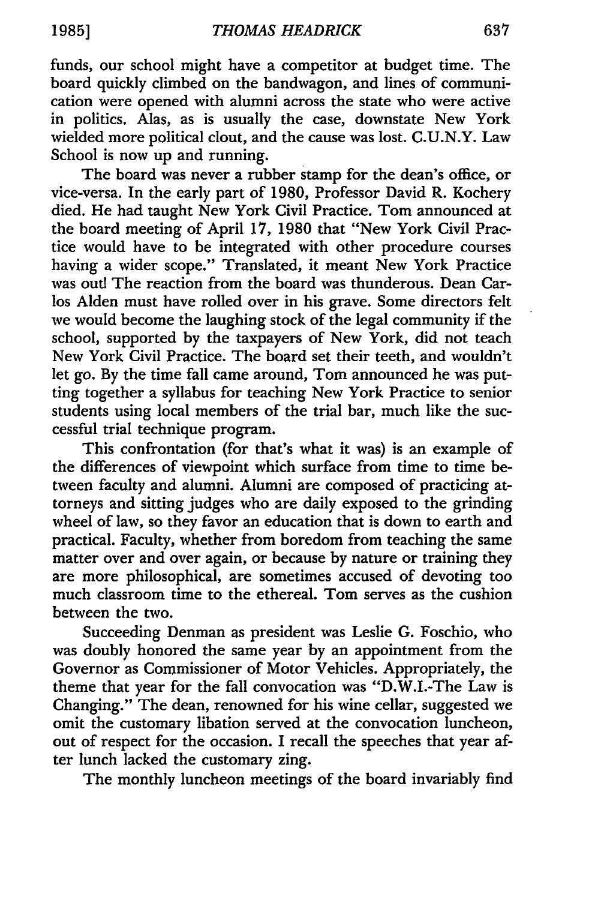funds, our school might have a competitor at budget time. The board quickly climbed on the bandwagon, and lines of communication were opened with alumni across the state who were active in politics. Alas, as is usually the case, downstate New York wielded more political clout, and the cause was lost. C.U.N.Y. Law School is now up and running.

The board was never a rubber stamp for the dean's office, or vice-versa. In the early part of 1980, Professor David R. Kochery died. He had taught New York Civil Practice. Tom announced at the board meeting of April 17, 1980 that "New York Civil Practice would have to be integrated with other procedure courses having a wider scope." Translated, it meant New York Practice was out! The reaction from the board was thunderous. Dean Carlos Alden must have rolled over in his grave. Some directors felt we would become the laughing stock of the legal community if the school, supported by the taxpayers of New York, did not teach New York Civil Practice. The board set their teeth, and wouldn't let go. By the time fall came around, Tom announced he was putting together a syllabus for teaching New York Practice to senior students using local members of the trial bar, much like the successful trial technique program.

This confrontation (for that's what it was) is an example of the differences of viewpoint which surface from time to time between faculty and alumni. Alumni are composed of practicing attorneys and sitting judges who are daily exposed to the grinding wheel of law, so they favor an education that is down to earth and practical. Faculty, whether from boredom from teaching the same matter over and over again, or because by nature or training they are more philosophical, are sometimes accused of devoting too much classroom time to the ethereal. Tom serves as the cushion between the two.

Succeeding Denman as president was Leslie G. Foschio, who was doubly honored the same year by an appointment from the Governor as Commissioner of Motor Vehicles. Appropriately, the theme that year for the fall convocation was "D.W.I.-The Law is Changing." The dean, renowned for his wine cellar, suggested we omit the customary libation served at the convocation luncheon, out of respect for the occasion. I recall the speeches that year after lunch lacked the customary zing.

The monthly luncheon meetings of the board invariably find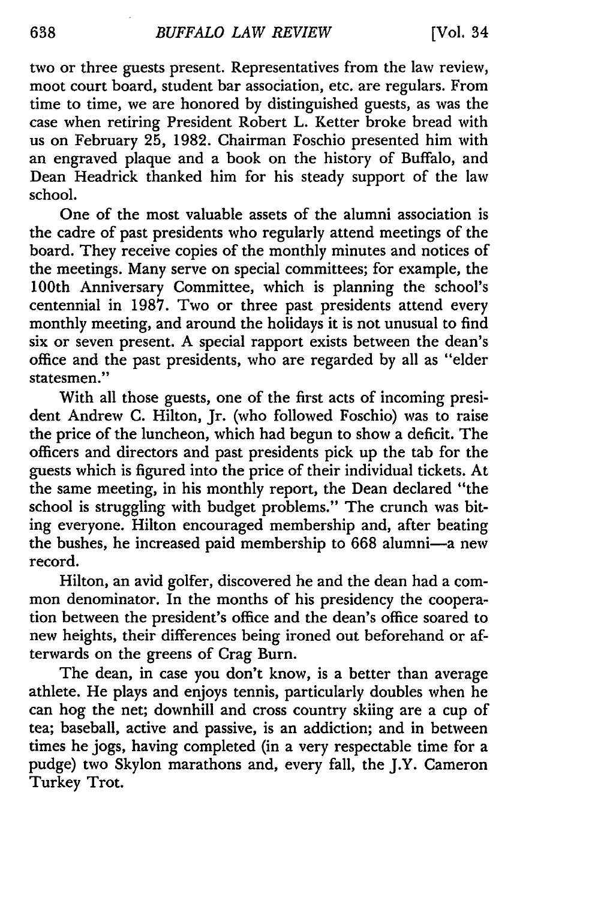two or three guests present. Representatives from the law review, moot court board, student bar association, etc. are regulars. From time to time, we are honored by distinguished guests, as was the case when retiring President Robert L. Ketter broke bread with us on February 25, 1982. Chairman Foschio presented him with an engraved plaque and a book on the history of Buffalo, and Dean Headrick thanked him for his steady support of the law school.

One of the most valuable assets of the alumni association is the cadre of past presidents who regularly attend meetings of the board. They receive copies of the monthly minutes and notices of the meetings. Many serve on special committees; for example, the 100th Anniversary Committee, which is planning the school's centennial in 1987. Two or three past presidents attend every monthly meeting, and around the holidays it is not unusual to find six or seven present. A special rapport exists between the dean's office and the past presidents, who are regarded by all as "elder statesmen."

With all those guests, one of the first acts of incoming president Andrew C. Hilton, Jr. (who followed Foschio) was to raise the price of the luncheon, which had begun to show a deficit. The officers and directors and past presidents pick up the tab for the guests which is figured into the price of their individual tickets. At the same meeting, in his monthly report, the Dean declared "the school is struggling with budget problems." The crunch was biting everyone. Hilton encouraged membership and, after beating the bushes, he increased paid membership to 668 alumni-a new record.

Hilton, an avid golfer, discovered he and the dean had a common denominator. In the months of his presidency the cooperation between the president's office and the dean's office soared to new heights, their differences being ironed out beforehand or afterwards on the greens of Crag Burn.

The dean, in case you don't know, is a better than average athlete. He plays and enjoys tennis, particularly doubles when he can hog the net; downhill and cross country skiing are a cup of tea; baseball, active and passive, is an addiction; and in between times he jogs, having completed (in a very respectable time for a pudge) two Skylon marathons and, every fall, the J.Y. Cameron Turkey Trot.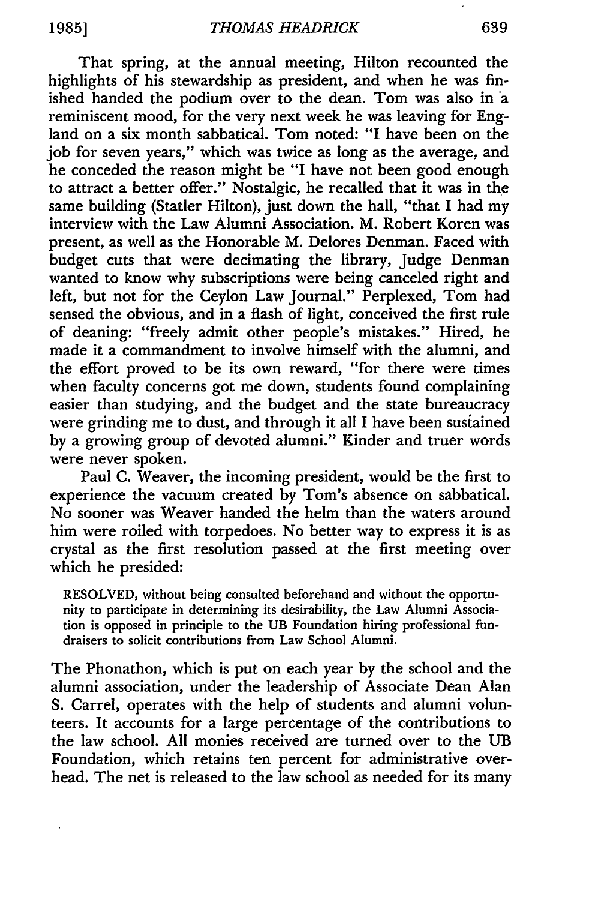That spring, at the annual meeting, Hilton recounted the highlights of his stewardship as president, and when he was finished handed the podium over to the dean. Tom was also in a reminiscent mood, for the very next week he was leaving for England on a six month sabbatical. Tom noted: "I have been on the job for seven years," which was twice as long as the average, and he conceded the reason might be "I have not been good enough to attract a better offer." Nostalgic, he recalled that it was in the same building (Statler Hilton), just down the hall, "that I had my interview with the Law Alumni Association. M. Robert Koren was present, as well as the Honorable M. Delores Denman. Faced with budget cuts that were decimating the library, Judge Denman wanted to know why subscriptions were being canceled right and left, but not for the Ceylon Law Journal." Perplexed, Tom had sensed the obvious, and in a flash of light, conceived the first rule of deaning: "freely admit other people's mistakes." Hired, he made it a commandment to involve himself with the alumni, and the effort proved to be its own reward, "for there were times when faculty concerns got me down, students found complaining easier than studying, and the budget and the state bureaucracy were grinding me to dust, and through it all I have been susiained by a growing group of devoted alumni." Kinder and truer words were never spoken.

Paul C. Weaver, the incoming president, would be the first to experience the vacuum created by Tom's absence on sabbatical. No sooner was Weaver handed the helm than the waters around him were roiled with torpedoes. No better way to express it is as crystal as the first resolution passed at the first meeting over which he presided:

RESOLVED, without being consulted beforehand and without the opportunity to participate in determining its desirability, the Law Alumni Association is opposed in principle to the UB Foundation hiring professional fundraisers to solicit contributions from Law School Alumni.

The Phonathon, which is put on each year by the school and the alumni association, under the leadership of Associate Dean Alan S. Carrel, operates with the help of students and alumni volunteers. It accounts for a large percentage of the contributions to the law school. All monies received are turned over to the UB Foundation, which retains ten percent for administrative overhead. The net is released to the law school as needed for its many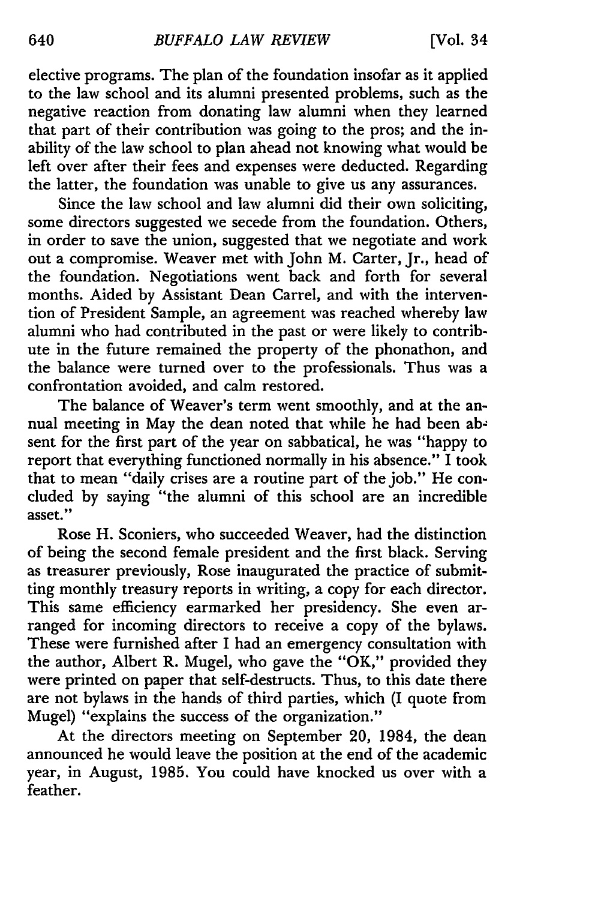elective programs. The plan of the foundation insofar as it applied to the law school and its alumni presented problems, such as the negative reaction from donating law alumni when they learned that part of their contribution was going to the pros; and the inability of the law school to plan ahead not knowing what would be left over after their fees and expenses were deducted. Regarding the latter, the foundation was unable to give us any assurances.

Since the law school and law alumni did their own soliciting, some directors suggested we secede from the foundation. Others, in order to save the union, suggested that we negotiate and work out a compromise. Weaver met with John M. Carter, Jr., head of the foundation. Negotiations went back and forth for several months. Aided by Assistant Dean Carrel, and with the intervention of President Sample, an agreement was reached whereby law alumni who had contributed in the past or were likely to contribute in the future remained the property of the phonathon, and the balance were turned over to the professionals. Thus was a confrontation avoided, and calm restored.

The balance of Weaver's term went smoothly, and at the annual meeting in May the dean noted that while he had been absent for the first part of the year on sabbatical, he was "happy to report that everything functioned normally in his absence." I took that to mean "daily crises are a routine part of the job." He concluded by saying "the alumni of this school are an incredible asset."

Rose H. Sconiers, who succeeded Weaver, had the distinction of being the second female president and the first black. Serving as treasurer previously, Rose inaugurated the practice of submitting monthly treasury reports in writing, a copy for each director. This same efficiency earmarked her presidency. She even arranged for incoming directors to receive a copy of the bylaws. These were furnished after I had an emergency consultation with the author, Albert R. Mugel, who gave the "OK," provided they were printed on paper that self-destructs. Thus, to this date there are not bylaws in the hands of third parties, which (I quote from Mugel) "explains the success of the organization."

At the directors meeting on September 20, 1984, the dean announced he would leave the position at the end of the academic year, in August, 1985. You could have knocked us over with a feather.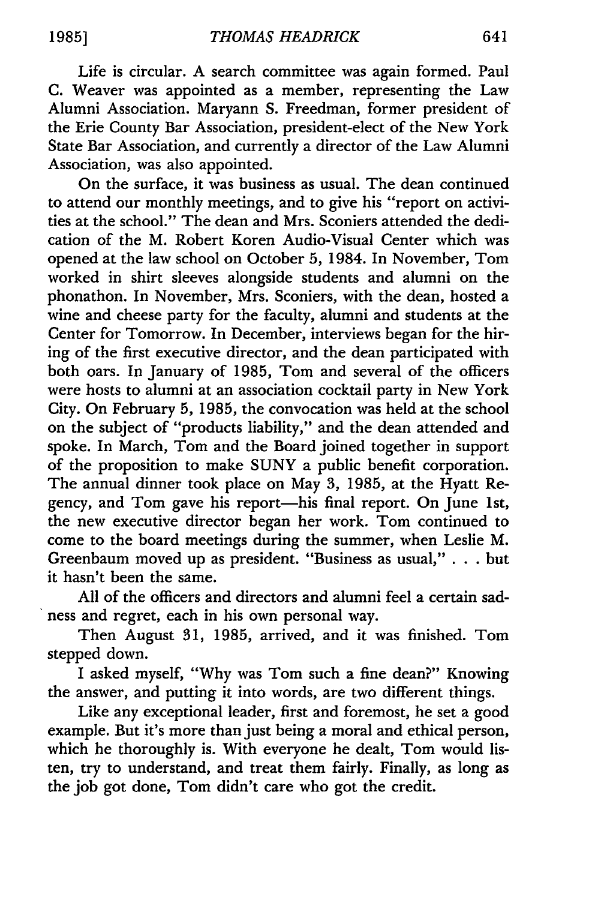Life is circular. A search committee was again formed. Paul C. Weaver was appointed as a member, representing the Law Alumni Association. Maryann S. Freedman, former president of the Erie County Bar Association, president-elect of the New York State Bar Association, and currently a director of the Law Alumni Association, was also appointed.

On the surface, it was business as usual. The dean continued to attend our monthly meetings, and to give his "report on activities at the school." The dean and Mrs. Sconiers attended the dedication of the M. Robert Koren Audio-Visual Center which was opened at the law school on October 5, 1984. In November, Tom worked in shirt sleeves alongside students and alumni on the phonathon. In November, Mrs. Sconiers, with the dean, hosted a wine and cheese party for the faculty, alumni and students at the Center for Tomorrow. In December, interviews began for the hiring of the first executive director, and the dean participated with both oars. In January of 1985, Tom and several of the officers were hosts to alumni at an association cocktail party in New York City. On February 5, 1985, the convocation was held at the school on the subject of "products liability," and the dean attended and spoke. In March, Tom and the Board joined together in support of the proposition to make SUNY a public benefit corporation. The annual dinner took place on May 3, 1985, at the Hyatt Regency, and Tom gave his report—his final report. On June 1st, the new executive director began her work. Tom continued to come to the board meetings during the summer, when Leslie M. Greenbaum moved up as president. "Business as usual," . . . but it hasn't been the same.

All of the officers and directors and alumni feel a certain sadness and regret, each in his own personal way.

Then August 31, 1985, arrived, and it was finished. Tom stepped down.

I asked myself, "Why was Tom such a fine dean?" Knowing the answer, and putting it into words, are two different things.

Like any exceptional leader, first and foremost, he set a good example. But it's more than just being a moral and ethical person, which he thoroughly is. With everyone he dealt, Tom would listen, try to understand, and treat them fairly. Finally, as long as the job got done, Tom didn't care who got the credit.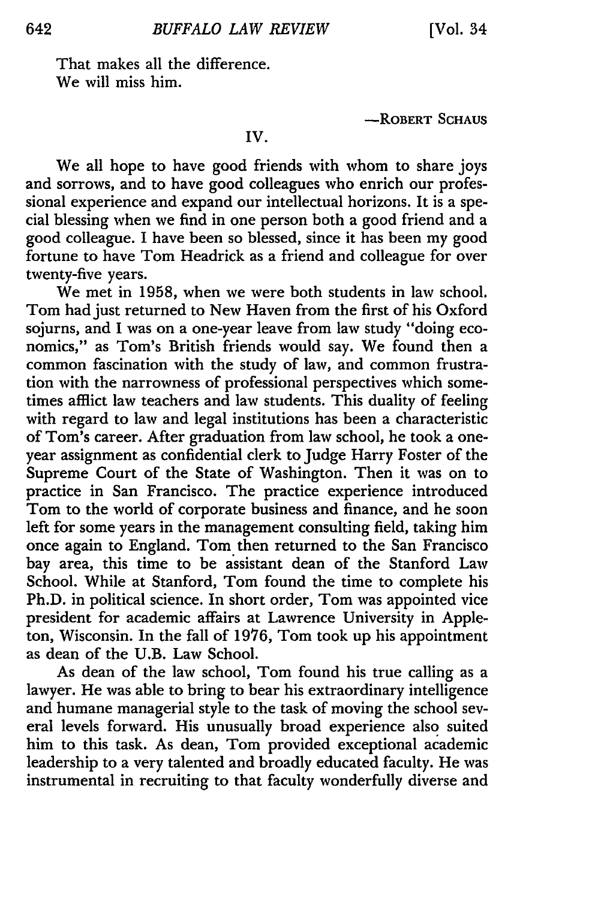That makes all the difference. We will miss him.

-ROBERT **SCHAUS**

IV.

We all hope to have good friends with whom to share joys and sorrows, and to have good colleagues who enrich our professional experience and expand our intellectual horizons. It is a special blessing when we find in one person both a good friend and a good colleague. **I** have been so blessed, since it has been my good fortune to have Tom Headrick as a friend and colleague for over twenty-five years.

We met in **1958,** when we were both students in law school. Tom had just returned to New Haven from the first of his Oxford sojurns, and I was on a one-year leave from law study "doing economics," as Tom's British friends would say. We found then a common fascination with the study of law, and common frustration with the narrowness of professional perspectives which sometimes afflict law teachers and law students. This duality of feeling with regard to law and legal institutions has been a characteristic of Tom's career. After graduation from law school, he took a oneyear assignment as confidential clerk to Judge Harry Foster of the Supreme Court of the State of Washington. Then it was on to practice in San Francisco. The practice experience introduced Tom to the world of corporate business and finance, and he soon left for some years in the management consulting field, taking him once again to England. Tom then returned to the San Francisco bay area, this time to be assistant dean of the Stanford Law School. While at Stanford, Tom found the time to complete his Ph.D. in political science. In short order, Tom was appointed vice president for academic affairs at Lawrence University in Appleton, Wisconsin. In the fall of 1976, Tom took up his appointment as dean of the U.B. Law School.

As dean of the law school, Tom found his true calling as a lawyer. He was able to bring to bear his extraordinary intelligence and humane managerial style to the task of moving the school several levels forward. His unusually broad experience also suited him to this task. As dean, Tom provided exceptional academic leadership to a very talented and broadly educated faculty. He was instrumental in recruiting to that faculty wonderfully diverse and